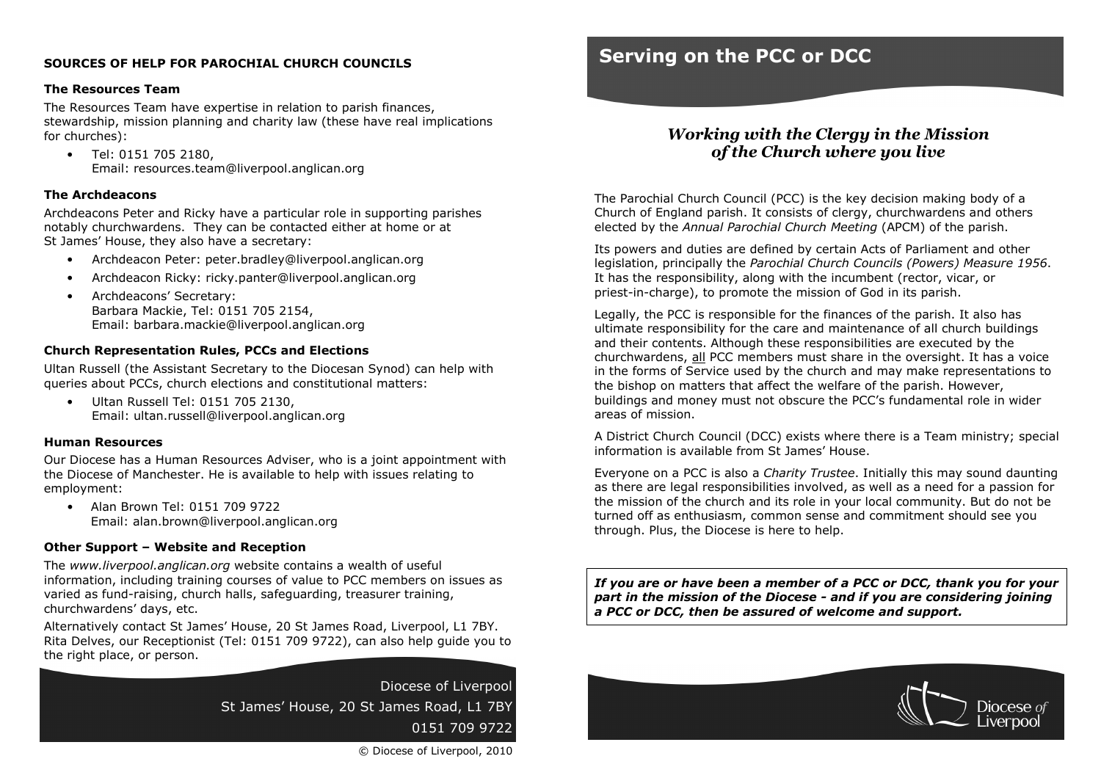# SOURCES OF HELP FOR PAROCHIAL CHURCH COUNCILS

## The Resources Team

 The Resources Team have expertise in relation to parish finances, stewardship, mission planning and charity law (these have real implications for churches):

• Tel: 0151 705 2180, Email: resources.team@liverpool.anglican.org

# The Archdeacons

Archdeacons Peter and Ricky have a particular role in supporting parishes notably churchwardens. They can be contacted either at home or at St James' House, they also have a secretary:

- Archdeacon Peter: peter.bradley@liverpool.anglican.org
- Archdeacon Ricky: ricky.panter@liverpool.anglican.org
- Archdeacons' Secretary: Barbara Mackie, Tel: 0151 705 2154, Email: barbara.mackie@liverpool.anglican.org

# Church Representation Rules, PCCs and Elections

Ultan Russell (the Assistant Secretary to the Diocesan Synod) can help with queries about PCCs, church elections and constitutional matters:

• Ultan Russell Tel: 0151 705 2130, Email: ultan.russell@liverpool.anglican.org

# Human Resources

Our Diocese has a Human Resources Adviser, who is a joint appointment with the Diocese of Manchester. He is available to help with issues relating to employment:

• Alan Brown Tel: 0151 709 9722 Email: alan.brown@liverpool.anglican.org

### Other Support – Website and Reception

The www.liverpool.anglican.org website contains a wealth of useful information, including training courses of value to PCC members on issues as varied as fund-raising, church halls, safeguarding, treasurer training, churchwardens' days, etc.

Alternatively contact St James' House, 20 St James Road, Liverpool, L1 7BY. Rita Delves, our Receptionist (Tel: 0151 709 9722), can also help guide you to the right place, or person.

> Diocese of LiverpoolSt James' House, 20 St James Road, L1 7BY0151 709 9722

# Serving on the PCC or DCC

# Working with the Clergy in the Mission of the Church where you live

The Parochial Church Council (PCC) is the key decision making body of a Church of England parish. It consists of clergy, churchwardens and others elected by the Annual Parochial Church Meeting (APCM) of the parish.

Its powers and duties are defined by certain Acts of Parliament and other legislation, principally the Parochial Church Councils (Powers) Measure 1956. It has the responsibility, along with the incumbent (rector, vicar, or priest-in-charge), to promote the mission of God in its parish.

Legally, the PCC is responsible for the finances of the parish. It also has ultimate responsibility for the care and maintenance of all church buildings and their contents. Although these responsibilities are executed by the churchwardens, all PCC members must share in the oversight. It has a voice in the forms of Service used by the church and may make representations to the bishop on matters that affect the welfare of the parish. However, buildings and money must not obscure the PCC's fundamental role in wider areas of mission.

A District Church Council (DCC) exists where there is a Team ministry; special information is available from St James' House.

Everyone on a PCC is also a Charity Trustee. Initially this may sound daunting as there are legal responsibilities involved, as well as a need for a passion for the mission of the church and its role in your local community. But do not be turned off as enthusiasm, common sense and commitment should see you through. Plus, the Diocese is here to help.

If you are or have been a member of a PCC or DCC, thank you for your part in the mission of the Diocese - and if you are considering joining a PCC or DCC, then be assured of welcome and support.